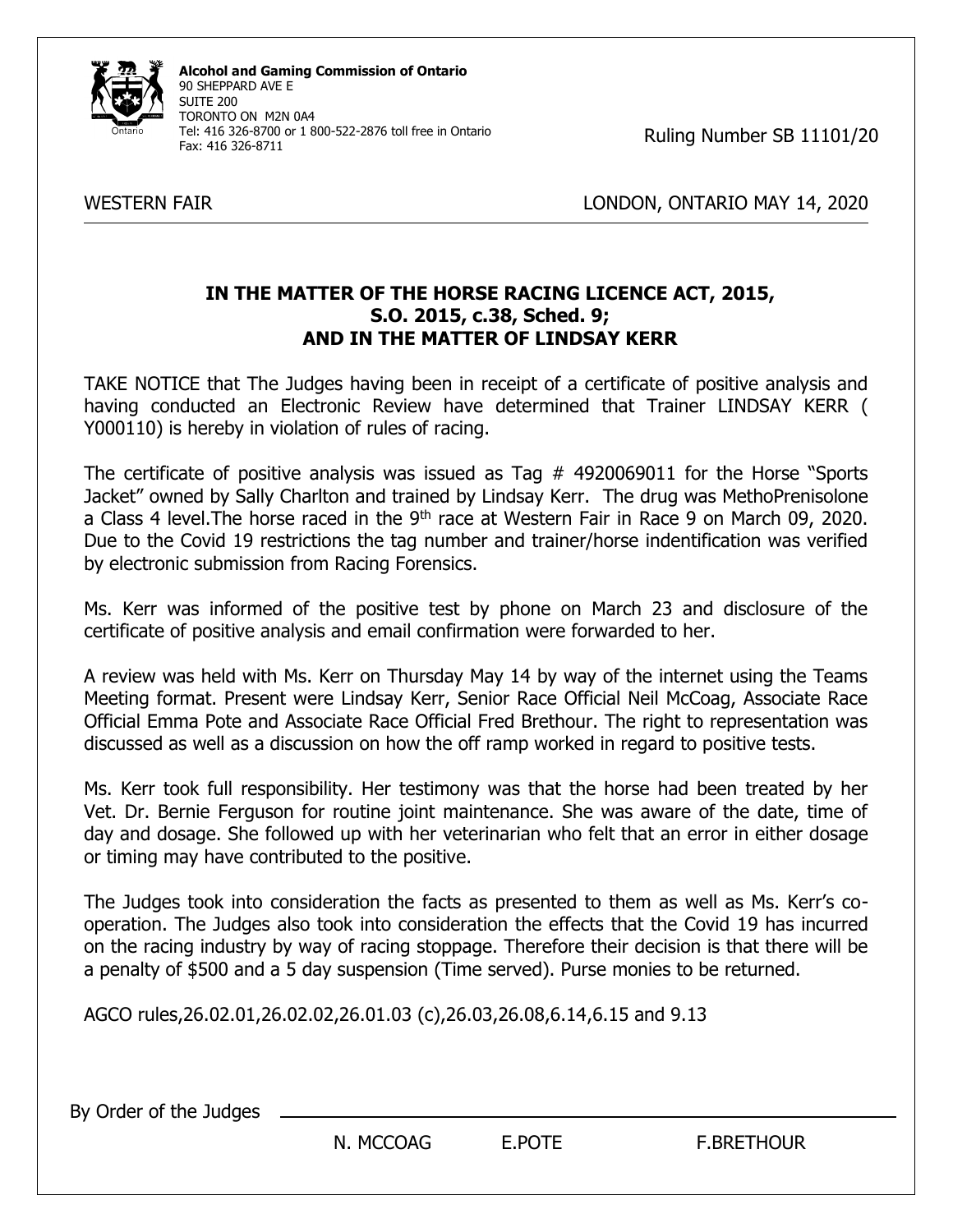

**Alcohol and Gaming Commission of Ontario** 90 SHEPPARD AVE E SUITE 200 TORONTO ON M2N 0A4 Tel: 416 326-8700 or 1 800-522-2876 toll free in Ontario Fax: 416 326-8711

Ruling Number SB 11101/20

WESTERN FAIR WESTERN FAIR AND THE STATE OF THE LONDON, ONTARIO MAY 14, 2020

## **IN THE MATTER OF THE HORSE RACING LICENCE ACT, 2015, S.O. 2015, c.38, Sched. 9; AND IN THE MATTER OF LINDSAY KERR**

TAKE NOTICE that The Judges having been in receipt of a certificate of positive analysis and having conducted an Electronic Review have determined that Trainer LINDSAY KERR ( Y000110) is hereby in violation of rules of racing.

The certificate of positive analysis was issued as Tag # 4920069011 for the Horse "Sports Jacket" owned by Sally Charlton and trained by Lindsay Kerr. The drug was MethoPrenisolone a Class 4 level. The horse raced in the 9<sup>th</sup> race at Western Fair in Race 9 on March 09, 2020. Due to the Covid 19 restrictions the tag number and trainer/horse indentification was verified by electronic submission from Racing Forensics.

Ms. Kerr was informed of the positive test by phone on March 23 and disclosure of the certificate of positive analysis and email confirmation were forwarded to her.

A review was held with Ms. Kerr on Thursday May 14 by way of the internet using the Teams Meeting format. Present were Lindsay Kerr, Senior Race Official Neil McCoag, Associate Race Official Emma Pote and Associate Race Official Fred Brethour. The right to representation was discussed as well as a discussion on how the off ramp worked in regard to positive tests.

Ms. Kerr took full responsibility. Her testimony was that the horse had been treated by her Vet. Dr. Bernie Ferguson for routine joint maintenance. She was aware of the date, time of day and dosage. She followed up with her veterinarian who felt that an error in either dosage or timing may have contributed to the positive.

The Judges took into consideration the facts as presented to them as well as Ms. Kerr's cooperation. The Judges also took into consideration the effects that the Covid 19 has incurred on the racing industry by way of racing stoppage. Therefore their decision is that there will be a penalty of \$500 and a 5 day suspension (Time served). Purse monies to be returned.

AGCO rules,26.02.01,26.02.02,26.01.03 (c),26.03,26.08,6.14,6.15 and 9.13

By Order of the Judges